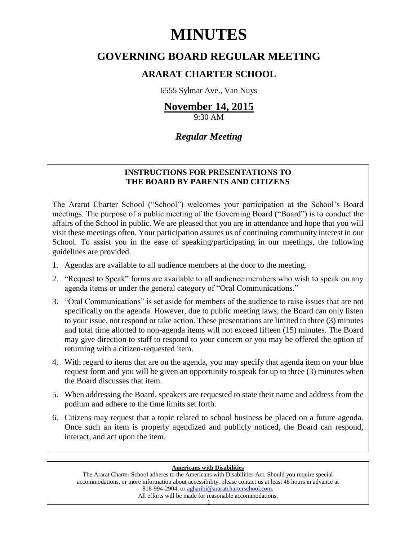# **MINUTES**

# **GOVERNING BOARD REGULAR MEETING**

# **ARARAT CHARTER SCHOOL**

6555 Sylmar Ave., Van Nuys

# **November 14, 2015**

9:30 AM

# *Regular Meeting*

## **INSTRUCTIONS FOR PRESENTATIONS TO THE BOARD BY PARENTS AND CITIZENS**

The Ararat Charter School ("School") welcomes your participation at the School's Board meetings. The purpose of a public meeting of the Governing Board ("Board") is to conduct the affairs of the School in public. We are pleased that you are in attendance and hope that you will visit these meetings often. Your participation assures us of continuing community interest in our School. To assist you in the ease of speaking/participating in our meetings, the following guidelines are provided.

- 1. Agendas are available to all audience members at the door to the meeting.
- 2. "Request to Speak" forms are available to all audience members who wish to speak on any agenda items or under the general category of "Oral Communications."
- 3. "Oral Communications" is set aside for members of the audience to raise issues that are not specifically on the agenda. However, due to public meeting laws, the Board can only listen to your issue, not respond or take action. These presentations are limited to three (3) minutes and total time allotted to non-agenda items will not exceed fifteen (15) minutes. The Board may give direction to staff to respond to your concern or you may be offered the option of returning with a citizen-requested item.
- 4. With regard to items that are on the agenda, you may specify that agenda item on your blue request form and you will be given an opportunity to speak for up to three (3) minutes when the Board discusses that item.
- 5. When addressing the Board, speakers are requested to state their name and address from the podium and adhere to the time limits set forth.
- 6. Citizens may request that a topic related to school business be placed on a future agenda. Once such an item is properly agendized and publicly noticed, the Board can respond, interact, and act upon the item.

#### **Americans with Disabilities**

The Ararat Charter School adheres to the Americans with Disabilities Act. Should you require special accommodations, or more information about accessibility, please contact us at least 48 hours in advance at 818-994-2904, or [agharibi@araratcharterschool.com.](mailto:agharibi@araratcharterschool.com)  All efforts will be made for reasonable accommodations.

1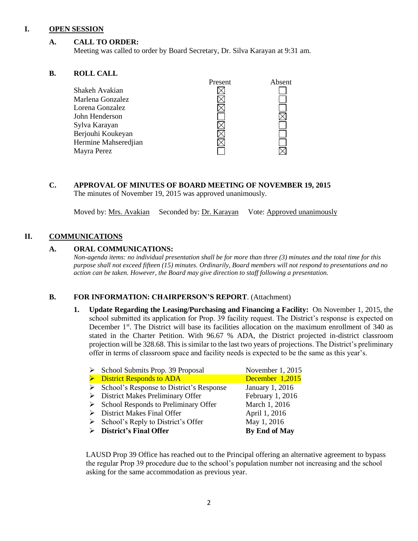#### **I. OPEN SESSION**

#### **A. CALL TO ORDER:**

Meeting was called to order by Board Secretary, Dr. Silva Karayan at 9:31 am.

#### **B. ROLL CALL**

|                      | rresent | Absent |
|----------------------|---------|--------|
| Shakeh Avakian       |         |        |
| Marlena Gonzalez     |         |        |
| Lorena Gonzalez      |         |        |
| John Henderson       |         |        |
| Sylva Karayan        |         |        |
| Berjouhi Koukeyan    |         |        |
| Hermine Mahseredjian |         |        |
| Mayra Perez          |         |        |
|                      |         |        |

**C. APPROVAL OF MINUTES OF BOARD MEETING OF NOVEMBER 19, 2015** The minutes of November 19, 2015 was approved unanimously.

Moved by: Mrs. Avakian Seconded by: Dr. Karayan Vote: Approved unanimously

#### **II. COMMUNICATIONS**

#### **A. ORAL COMMUNICATIONS:**

*Non-agenda items: no individual presentation shall be for more than three (3) minutes and the total time for this purpose shall not exceed fifteen (15) minutes. Ordinarily, Board members will not respond to presentations and no action can be taken. However, the Board may give direction to staff following a presentation.*

Present Absent

#### **B. FOR INFORMATION: CHAIRPERSON'S REPORT**. (Attachment)

**1. Update Regarding the Leasing/Purchasing and Financing a Facility:** On November 1, 2015, the school submitted its application for Prop. 39 facility request. The District's response is expected on December 1<sup>st</sup>. The District will base its facilities allocation on the maximum enrollment of 340 as stated in the Charter Petition. With 96.67 % ADA, the District projected in-district classroom projection will be 328.68. This is similar to the last two years of projections. The District's preliminary offer in terms of classroom space and facility needs is expected to be the same as this year's.

| $\triangleright$ School Submits Prop. 39 Proposal         | November 1, 2015 |
|-----------------------------------------------------------|------------------|
| $\triangleright$ District Responds to ADA                 | December 1,2015  |
| $\triangleright$ School's Response to District's Response | January 1, 2016  |
| $\triangleright$ District Makes Preliminary Offer         | February 1, 2016 |
| $\triangleright$ School Responds to Preliminary Offer     | March 1, 2016    |
| $\triangleright$ District Makes Final Offer               | April 1, 2016    |
| $\triangleright$ School's Reply to District's Offer       | May 1, 2016      |
| $\triangleright$ District's Final Offer                   | By End of May    |

LAUSD Prop 39 Office has reached out to the Principal offering an alternative agreement to bypass the regular Prop 39 procedure due to the school's population number not increasing and the school asking for the same accommodation as previous year.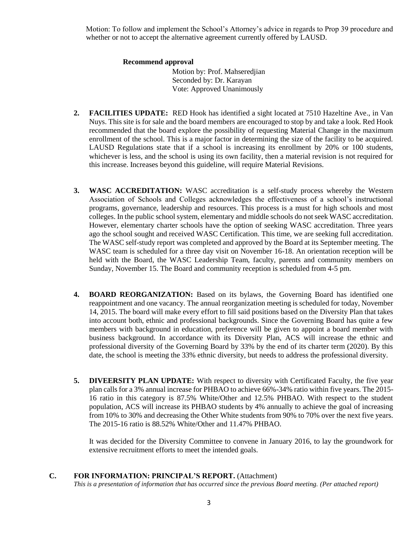Motion: To follow and implement the School's Attorney's advice in regards to Prop 39 procedure and whether or not to accept the alternative agreement currently offered by LAUSD.

#### **Recommend approval**

 Motion by: Prof. Mahseredjian Seconded by: Dr. Karayan Vote: Approved Unanimously

- **2. FACILITIES UPDATE:** RED Hook has identified a sight located at 7510 Hazeltine Ave., in Van Nuys. This site is for sale and the board members are encouraged to stop by and take a look. Red Hook recommended that the board explore the possibility of requesting Material Change in the maximum enrollment of the school. This is a major factor in determining the size of the facility to be acquired. LAUSD Regulations state that if a school is increasing its enrollment by 20% or 100 students, whichever is less, and the school is using its own facility, then a material revision is not required for this increase. Increases beyond this guideline, will require Material Revisions.
- **3. WASC ACCREDITATION:** WASC accreditation is a self-study process whereby the Western Association of Schools and Colleges acknowledges the effectiveness of a school's instructional programs, governance, leadership and resources. This process is a must for high schools and most colleges. In the public school system, elementary and middle schools do not seek WASC accreditation. However, elementary charter schools have the option of seeking WASC accreditation. Three years ago the school sought and received WASC Certification. This time, we are seeking full accreditation. The WASC self-study report was completed and approved by the Board at its September meeting. The WASC team is scheduled for a three day visit on November 16-18. An orientation reception will be held with the Board, the WASC Leadership Team, faculty, parents and community members on Sunday, November 15. The Board and community reception is scheduled from 4-5 pm.
- **4. BOARD REORGANIZATION:** Based on its bylaws, the Governing Board has identified one reappointment and one vacancy. The annual reorganization meeting is scheduled for today, November 14, 2015. The board will make every effort to fill said positions based on the Diversity Plan that takes into account both, ethnic and professional backgrounds. Since the Governing Board has quite a few members with background in education, preference will be given to appoint a board member with business background. In accordance with its Diversity Plan, ACS will increase the ethnic and professional diversity of the Governing Board by 33% by the end of its charter term (2020). By this date, the school is meeting the 33% ethnic diversity, but needs to address the professional diversity.
- **5. DIVEERSITY PLAN UPDATE:** With respect to diversity with Certificated Faculty, the five year plan calls for a 3% annual increase for PHBAO to achieve 66%-34% ratio within five years. The 2015- 16 ratio in this category is 87.5% White/Other and 12.5% PHBAO. With respect to the student population, ACS will increase its PHBAO students by 4% annually to achieve the goal of increasing from 10% to 30% and decreasing the Other White students from 90% to 70% over the next five years. The 2015-16 ratio is 88.52% White/Other and 11.47% PHBAO.

It was decided for the Diversity Committee to convene in January 2016, to lay the groundwork for extensive recruitment efforts to meet the intended goals.

**C. FOR INFORMATION: PRINCIPAL'S REPORT.** (Attachment) *This is a presentation of information that has occurred since the previous Board meeting. (Per attached report)*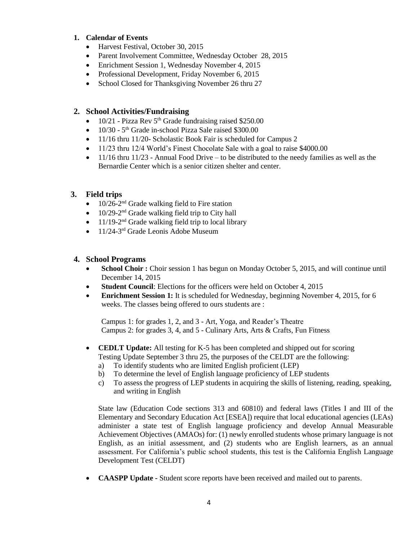#### **1. Calendar of Events**

- Harvest Festival, October 30, 2015
- Parent Involvement Committee, Wednesday October 28, 2015
- Enrichment Session 1, Wednesday November 4, 2015
- Professional Development, Friday November 6, 2015
- School Closed for Thanksgiving November 26 thru 27

#### **2. School Activities/Fundraising**

- $\bullet$  10/21 Pizza Rev 5<sup>th</sup> Grade fundraising raised \$250.00
- 10/30 5<sup>th</sup> Grade in-school Pizza Sale raised \$300.00
- 11/16 thru 11/20- Scholastic Book Fair is scheduled for Campus 2
- 11/23 thru 12/4 World's Finest Chocolate Sale with a goal to raise \$4000.00
- $\bullet$  11/16 thru 11/23 Annual Food Drive to be distributed to the needy families as well as the Bernardie Center which is a senior citizen shelter and center.

#### **3. Field trips**

- $\bullet$  10/26-2<sup>nd</sup> Grade walking field to Fire station
- $\bullet$  10/29-2<sup>nd</sup> Grade walking field trip to City hall
- $\bullet$  11/19-2<sup>nd</sup> Grade walking field trip to local library
- 11/24-3<sup>rd</sup> Grade Leonis Adobe Museum

#### **4. School Programs**

- **School Choir :** Choir session 1 has begun on Monday October 5, 2015, and will continue until December 14, 2015
- **Student Council**: Elections for the officers were held on October 4, 2015
- **Enrichment Session 1:** It is scheduled for Wednesday, beginning November 4, 2015, for 6 weeks. The classes being offered to ours students are :

Campus 1: for grades 1, 2, and 3 - Art, Yoga, and Reader's Theatre Campus 2: for grades 3, 4, and 5 - Culinary Arts, Arts & Crafts, Fun Fitness

- **CEDLT Update:** All testing for K-5 has been completed and shipped out for scoring Testing Update September 3 thru 25, the purposes of the CELDT are the following:
	- a) To identify students who are limited English proficient (LEP)
	- b) To determine the level of English language proficiency of LEP students
	- c) To assess the progress of LEP students in acquiring the skills of listening, reading, speaking, and writing in English

State law (Education Code sections 313 and 60810) and federal laws (Titles I and III of the Elementary and Secondary Education Act [ESEA]) require that local educational agencies (LEAs) administer a state test of English language proficiency and develop Annual Measurable Achievement Objectives (AMAOs) for: (1) newly enrolled students whose primary language is not English, as an initial assessment, and (2) students who are English learners, as an annual assessment. For California's public school students, this test is the California English Language Development Test (CELDT)

**CAASPP Update -** Student score reports have been received and mailed out to parents.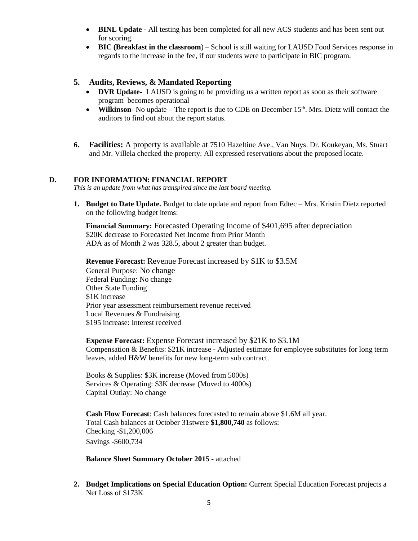- **BINL Update -** All testing has been completed for all new ACS students and has been sent out for scoring.
- **BIC (Breakfast in the classroom**) School is still waiting for LAUSD Food Services response in regards to the increase in the fee, if our students were to participate in BIC program.

#### **5. Audits, Reviews, & Mandated Reporting**

- **DVR Update-** LAUSD is going to be providing us a written report as soon as their software program becomes operational
- Wilkinson- No update The report is due to CDE on December 15<sup>th</sup>. Mrs. Dietz will contact the auditors to find out about the report status.
- **6. Facilities:** A property is available at 7510 Hazeltine Ave., Van Nuys. Dr. Koukeyan, Ms. Stuart and Mr. Villela checked the property. All expressed reservations about the proposed locate.

#### **D. FOR INFORMATION: FINANCIAL REPORT**

*This is an update from what has transpired since the last board meeting.*

**1. Budget to Date Update.** Budget to date update and report from Edtec – Mrs. Kristin Dietz reported on the following budget items:

**Financial Summary:** Forecasted Operating Income of \$401,695 after depreciation \$20K decrease to Forecasted Net Income from Prior Month ADA as of Month 2 was 328.5, about 2 greater than budget.

**Revenue Forecast:** Revenue Forecast increased by \$1K to \$3.5M General Purpose: No change Federal Funding: No change Other State Funding \$1K increase Prior year assessment reimbursement revenue received Local Revenues & Fundraising \$195 increase: Interest received

**Expense Forecast:** Expense Forecast increased by \$21K to \$3.1M Compensation & Benefits: \$21K increase - Adjusted estimate for employee substitutes for long term leaves, added H&W benefits for new long-term sub contract.

Books & Supplies: \$3K increase (Moved from 5000s) Services & Operating: \$3K decrease (Moved to 4000s) Capital Outlay: No change

**Cash Flow Forecast**: Cash balances forecasted to remain above \$1.6M all year. Total Cash balances at October 31stwere **\$1,800,740** as follows: Checking -\$1,200,006 Savings -\$600,734

**Balance Sheet Summary October 2015 -** attached

**2. Budget Implications on Special Education Option:** Current Special Education Forecast projects a Net Loss of \$173K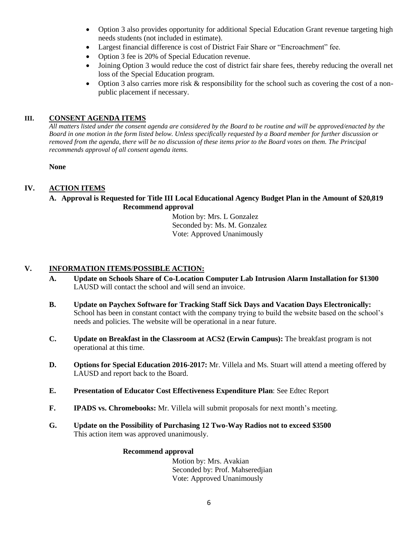- Option 3 also provides opportunity for additional Special Education Grant revenue targeting high needs students (not included in estimate).
- Largest financial difference is cost of District Fair Share or "Encroachment" fee.
- Option 3 fee is 20% of Special Education revenue.
- Joining Option 3 would reduce the cost of district fair share fees, thereby reducing the overall net loss of the Special Education program.
- Option 3 also carries more risk & responsibility for the school such as covering the cost of a nonpublic placement if necessary.

## **III. CONSENT AGENDA ITEMS**

*All matters listed under the consent agenda are considered by the Board to be routine and will be approved/enacted by the Board in one motion in the form listed below. Unless specifically requested by a Board member for further discussion or removed from the agenda, there will be no discussion of these items prior to the Board votes on them. The Principal recommends approval of all consent agenda items.*

#### **None**

## **IV. ACTION ITEMS**

#### **A. Approval is Requested for Title III Local Educational Agency Budget Plan in the Amount of \$20,819 Recommend approval**

 Motion by: Mrs. L Gonzalez Seconded by: Ms. M. Gonzalez Vote: Approved Unanimously

## **V. INFORMATION ITEMS**/**POSSIBLE ACTION:**

- **A. Update on Schools Share of Co-Location Computer Lab Intrusion Alarm Installation for \$1300** LAUSD will contact the school and will send an invoice.
- **B. Update on Paychex Software for Tracking Staff Sick Days and Vacation Days Electronically:**  School has been in constant contact with the company trying to build the website based on the school's needs and policies. The website will be operational in a near future.
- **C. Update on Breakfast in the Classroom at ACS2 (Erwin Campus):** The breakfast program is not operational at this time.
- **D. Options for Special Education 2016-2017:** Mr. Villela and Ms. Stuart will attend a meeting offered by LAUSD and report back to the Board.
- **E. Presentation of Educator Cost Effectiveness Expenditure Plan**: See Edtec Report
- **F. IPADS vs. Chromebooks:** Mr. Villela will submit proposals for next month's meeting.
- **G. Update on the Possibility of Purchasing 12 Two-Way Radios not to exceed \$3500** This action item was approved unanimously.

#### **Recommend approval**

 Motion by: Mrs. Avakian Seconded by: Prof. Mahseredjian Vote: Approved Unanimously